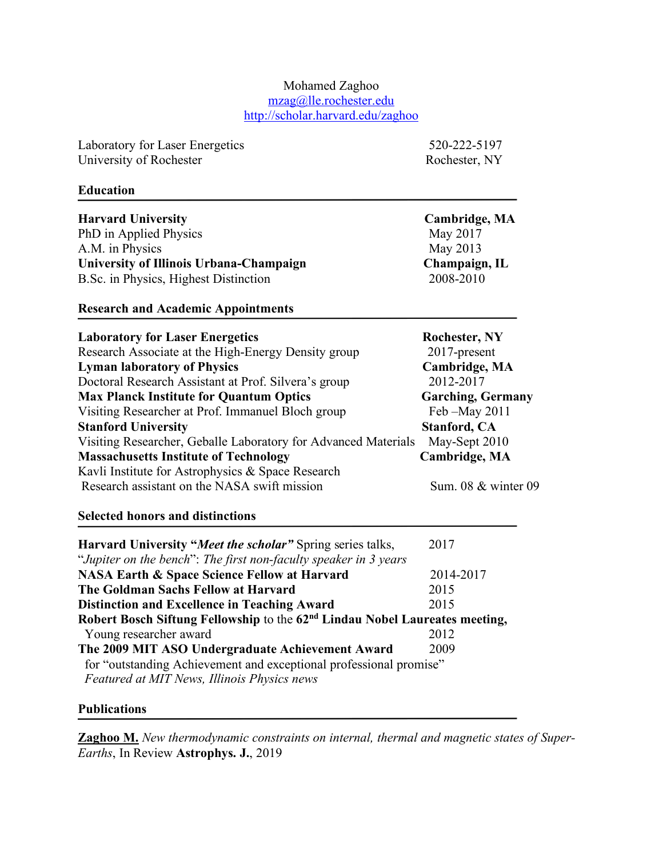#### Mohamed Zaghoo mzag@lle.rochester.edu http://scholar.harvard.edu/zaghoo

Laboratory for Laser Energetics 520-222-5197 University of Rochester Rochester Rochester, NY

#### **Education**

| <b>Harvard University</b>               | Cambridge, MA |
|-----------------------------------------|---------------|
| PhD in Applied Physics                  | May 2017      |
| A.M. in Physics                         | May 2013      |
| University of Illinois Urbana-Champaign | Champaign, IL |
| B.Sc. in Physics, Highest Distinction   | 2008-2010     |

#### **Research and Academic Appointments**

| <b>Laboratory for Laser Energetics</b>                         | <b>Rochester, NY</b>     |
|----------------------------------------------------------------|--------------------------|
| Research Associate at the High-Energy Density group            | $2017$ -present          |
| <b>Lyman laboratory of Physics</b>                             | Cambridge, MA            |
| Doctoral Research Assistant at Prof. Silvera's group           | 2012-2017                |
| <b>Max Planck Institute for Quantum Optics</b>                 | <b>Garching, Germany</b> |
| Visiting Researcher at Prof. Immanuel Bloch group              | Feb - May 2011           |
| <b>Stanford University</b>                                     | <b>Stanford, CA</b>      |
| Visiting Researcher, Geballe Laboratory for Advanced Materials | May-Sept 2010            |
| <b>Massachusetts Institute of Technology</b>                   | Cambridge, MA            |
| Kavli Institute for Astrophysics & Space Research              |                          |
| Research assistant on the NASA swift mission                   | Sum. 08 & winter 09      |
|                                                                |                          |

## **Selected honors and distinctions**

| <b>Harvard University "Meet the scholar"</b> Spring series talks,                       | 2017      |
|-----------------------------------------------------------------------------------------|-----------|
| "Jupiter on the bench": The first non-faculty speaker in 3 years                        |           |
| <b>NASA Earth &amp; Space Science Fellow at Harvard</b>                                 | 2014-2017 |
| The Goldman Sachs Fellow at Harvard                                                     | 2015      |
| <b>Distinction and Excellence in Teaching Award</b>                                     | 2015      |
| Robert Bosch Siftung Fellowship to the 62 <sup>nd</sup> Lindau Nobel Laureates meeting, |           |
| Young researcher award                                                                  | 2012      |
| The 2009 MIT ASO Undergraduate Achievement Award                                        | 2009      |
| for "outstanding Achievement and exceptional professional promise"                      |           |
| Featured at MIT News, Illinois Physics news                                             |           |
|                                                                                         |           |

## **Publications**

**Zaghoo M.** *New thermodynamic constraints on internal, thermal and magnetic states of Super-Earths*, In Review **Astrophys. J.**, 2019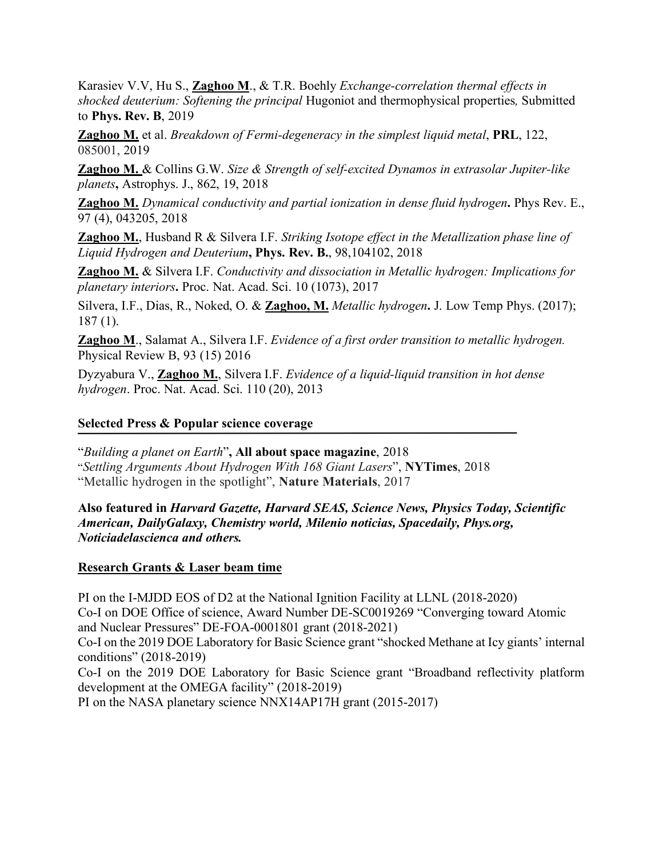Karasiev V.V, Hu S., **Zaghoo M**., & T.R. Boehly *Exchange-correlation thermal effects in shocked deuterium: Softening the principal* Hugoniot and thermophysical properties*,* Submitted to **Phys. Rev. B**, 2019

**Zaghoo M.** et al. *Breakdown of Fermi-degeneracy in the simplest liquid metal*, **PRL**, 122, 085001, 2019

**Zaghoo M.** & Collins G.W. *Size & Strength of self-excited Dynamos in extrasolar Jupiter-like planets***,** Astrophys. J., 862, 19, 2018

**Zaghoo M.** *Dynamical conductivity and partial ionization in dense fluid hydrogen***.** Phys Rev. E., 97 (4), 043205, 2018

**Zaghoo M.**, Husband R & Silvera I.F. *Striking Isotope effect in the Metallization phase line of Liquid Hydrogen and Deuterium***, Phys. Rev. B.**, 98,104102, 2018

**Zaghoo M.** & Silvera I.F. *Conductivity and dissociation in Metallic hydrogen: Implications for planetary interiors***.** Proc. Nat. Acad. Sci. 10 (1073), 2017

Silvera, I.F., Dias, R., Noked, O. & **Zaghoo, M.** *Metallic hydrogen***.** J. Low Temp Phys. (2017); 187 (1).

**Zaghoo M**., Salamat A., Silvera I.F. *Evidence of a first order transition to metallic hydrogen.* Physical Review B, 93 (15) 2016

Dyzyabura V., **Zaghoo M.**, Silvera I.F. *Evidence of a liquid-liquid transition in hot dense hydrogen*. Proc. Nat. Acad. Sci. 110 (20), 2013

# **Selected Press & Popular science coverage**

 "*Building a planet on Earth*"**, All about space magazine**, 2018 "*Settling Arguments About Hydrogen With 168 Giant Lasers*", **NYTimes**, 2018 "Metallic hydrogen in the spotlight", **Nature Materials**, 2017

**Also featured in** *Harvard Gazette, Harvard SEAS, Science News, Physics Today, Scientific American, DailyGalaxy, Chemistry world, Milenio noticias, Spacedaily, Phys.org, Noticiadelascienca and others.* 

## **Research Grants & Laser beam time**

PI on the I-MJDD EOS of D2 at the National Ignition Facility at LLNL (2018-2020) Co-I on DOE Office of science, Award Number DE-SC0019269 "Converging toward Atomic and Nuclear Pressures" DE-FOA-0001801 grant (2018-2021) Co-I on the 2019 DOE Laboratory for Basic Science grant "shocked Methane at Icy giants' internal conditions" (2018-2019) Co-I on the 2019 DOE Laboratory for Basic Science grant "Broadband reflectivity platform development at the OMEGA facility" (2018-2019)

PI on the NASA planetary science NNX14AP17H grant (2015-2017)